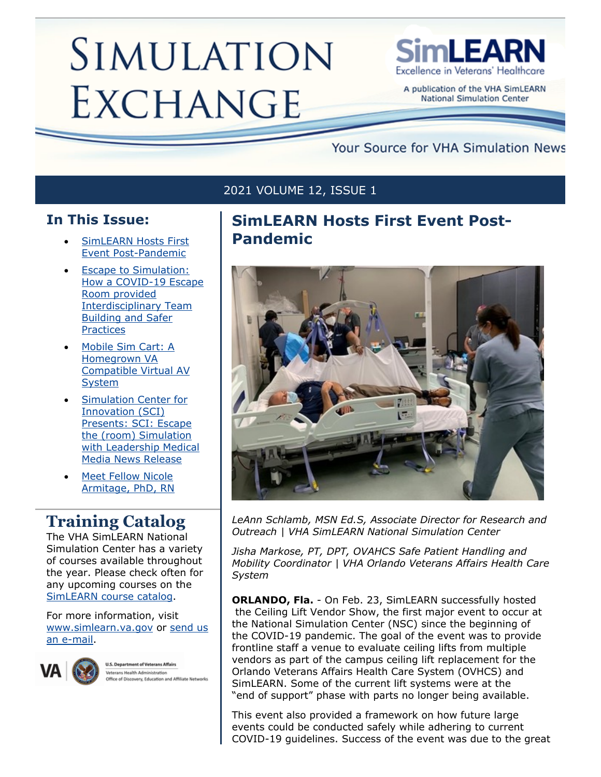# SIMULATION EXCHANGE



A publication of the VHA SimLEARN **National Simulation Center** 

Your Source for VHA Simulation News

#### 2021 VOLUME 12, ISSUE 1

#### **In This Issue:**

- [SimLEARN Hosts First](#page-0-0) [Event Post-Pandemic](#page-0-0)
- **[Escape to Simulation:](#page-1-0)** [How a COVID-19 Escape](#page-1-0) [Room provided](#page-1-0)  [Interdisciplinary Team](#page-1-0)  [Building and Safer](#page-1-0)  **[Practices](#page-1-0)**
- [Mobile Sim Cart: A](#page-2-0) [Homegrown VA](#page-2-0) [Compatible Virtual AV](#page-2-0) **[System](#page-2-0)**
- [Simulation Center for](#page-2-1) [Innovation \(SCI\)](#page-2-1) [Presents: SCI: Escape](#page-2-1) [the \(room\) Simulation](#page-2-1) [with Leadership Medical](#page-2-1) [Media News Release](#page-2-1)
- [Meet Fellow Nicole](#page-3-0) [Armitage, PhD, RN](#page-3-0)

# **Training Catalog**

The VHA SimLEARN National Simulation Center has a variety of courses available throughout the year. Please check often for any upcoming courses on the [SimLEARN course catalog.](https://gcc01.safelinks.protection.outlook.com/?url=https%3A%2F%2Fmyees.lrn.va.gov%2FSimLEARN%2FClass%2520Registration%2FCourse%2520Catalog.aspx&data=04%7C01%7C%7C7ce23959e0274fde985d08d8f0782aa7%7Ce95f1b23abaf45ee821db7ab251ab3bf%7C0%7C0%7C637523746218801270%7CUnknown%7CTWFpbGZsb3d8eyJWIjoiMC4wLjAwMDAiLCJQIjoiV2luMzIiLCJBTiI6Ik1haWwiLCJXVCI6Mn0%3D%7C1000&sdata=XB%2BYy%2FwI02yd%2BzDUgfTLyX5WjZXU1b1mqWxzL8ggfis%3D&reserved=0)

For more information, visit [www.simlearn.va.gov](https://gcc01.safelinks.protection.outlook.com/?url=http%3A%2F%2Fwww.simlearn.va.gov%2F&data=04%7C01%7C%7C7ce23959e0274fde985d08d8f0782aa7%7Ce95f1b23abaf45ee821db7ab251ab3bf%7C0%7C0%7C637523746218811227%7CUnknown%7CTWFpbGZsb3d8eyJWIjoiMC4wLjAwMDAiLCJQIjoiV2luMzIiLCJBTiI6Ik1haWwiLCJXVCI6Mn0%3D%7C1000&sdata=DOV%2Fn8jUnfhKk5bjHdSd03%2BflMsPPIVhHykOO1sFbmg%3D&reserved=0) or [send us](mailto:VASimLEARNGeneralInformation@va.gov)  [an e-mail.](mailto:VASimLEARNGeneralInformation@va.gov)



**U.S. Department of Veterans Affairs** Veterans Health Administration<br>Office of Discovery, Education and Affiliate Networks

## <span id="page-0-0"></span>**SimLEARN Hosts First Event Post-Pandemic**



*LeAnn Schlamb, MSN Ed.S, Associate Director for Research and Outreach | VHA SimLEARN National Simulation Center*

*Jisha Markose, PT, DPT, OVAHCS Safe Patient Handling and Mobility Coordinator | VHA Orlando Veterans Affairs Health Care System*

**ORLANDO, Fla.** - On Feb. 23, SimLEARN successfully hosted the Ceiling Lift Vendor Show, the first major event to occur at the National Simulation Center (NSC) since the beginning of the COVID-19 pandemic. The goal of the event was to provide frontline staff a venue to evaluate ceiling lifts from multiple vendors as part of the campus ceiling lift replacement for the Orlando Veterans Affairs Health Care System (OVHCS) and SimLEARN. Some of the current lift systems were at the "end of support" phase with parts no longer being available.

This event also provided a framework on how future large events could be conducted safely while adhering to current COVID-19 guidelines. Success of the event was due to the great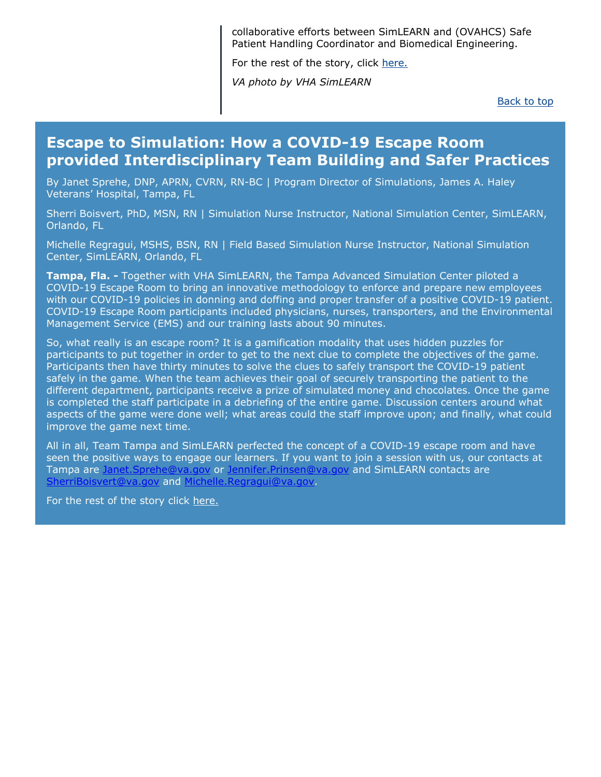collaborative efforts between SimLEARN and (OVAHCS) Safe Patient Handling Coordinator and Biomedical Engineering.

For the rest of the story, click [here.](https://gcc01.safelinks.protection.outlook.com/?url=https%3A%2F%2Fwww.simlearn.va.gov%2FSIMLEARN%2FFA_2021_1_SimLEARN_First_Event_Post_Pandemic.asp&data=04%7C01%7C%7C7ce23959e0274fde985d08d8f0782aa7%7Ce95f1b23abaf45ee821db7ab251ab3bf%7C0%7C0%7C637523746218811227%7CUnknown%7CTWFpbGZsb3d8eyJWIjoiMC4wLjAwMDAiLCJQIjoiV2luMzIiLCJBTiI6Ik1haWwiLCJXVCI6Mn0%3D%7C1000&sdata=atfWXiKI2mU3W1shGujzvoP0WeurTcJusoy4YGQoasU%3D&reserved=0)

*VA photo by VHA SimLEARN*

Back to top

### <span id="page-1-0"></span>**Escape to Simulation: How a COVID-19 Escape Room provided Interdisciplinary Team Building and Safer Practices**

By Janet Sprehe, DNP, APRN, CVRN, RN-BC | Program Director of Simulations, James A. Haley Veterans' Hospital, Tampa, FL

Sherri Boisvert, PhD, MSN, RN | Simulation Nurse Instructor, National Simulation Center, SimLEARN, Orlando, FL

Michelle Regragui, MSHS, BSN, RN | Field Based Simulation Nurse Instructor, National Simulation Center, SimLEARN, Orlando, FL

**Tampa, Fla. -** Together with VHA SimLEARN, the Tampa Advanced Simulation Center piloted a COVID-19 Escape Room to bring an innovative methodology to enforce and prepare new employees with our COVID-19 policies in donning and doffing and proper transfer of a positive COVID-19 patient. COVID-19 Escape Room participants included physicians, nurses, transporters, and the Environmental Management Service (EMS) and our training lasts about 90 minutes.

So, what really is an escape room? It is a gamification modality that uses hidden puzzles for participants to put together in order to get to the next clue to complete the objectives of the game. Participants then have thirty minutes to solve the clues to safely transport the COVID-19 patient safely in the game. When the team achieves their goal of securely transporting the patient to the different department, participants receive a prize of simulated money and chocolates. Once the game is completed the staff participate in a debriefing of the entire game. Discussion centers around what aspects of the game were done well; what areas could the staff improve upon; and finally, what could improve the game next time.

All in all, Team Tampa and SimLEARN perfected the concept of a COVID-19 escape room and have seen the positive ways to engage our learners. If you want to join a session with us, our contacts at Tampa are [Janet.Sprehe@va.gov](mailto:Janet.Sprehe@va.gov) or [Jennifer.Prinsen@va.gov](mailto:Jennifer.Prinsen@va.gov) and SimLEARN contacts are [SherriBoisvert@va.gov](mailto:SherriBoisvert@va.gov) and [Michelle.Regragui@va.gov.](mailto:Michelle.Regragui@va.gov)

For the rest of the story click [here.](https://gcc01.safelinks.protection.outlook.com/?url=https%3A%2F%2Fwww.simlearn.va.gov%2FSIMLEARN%2FFA_2021_2_Escape_to_Simulation.asp&data=04%7C01%7C%7C7ce23959e0274fde985d08d8f0782aa7%7Ce95f1b23abaf45ee821db7ab251ab3bf%7C0%7C0%7C637523746218821179%7CUnknown%7CTWFpbGZsb3d8eyJWIjoiMC4wLjAwMDAiLCJQIjoiV2luMzIiLCJBTiI6Ik1haWwiLCJXVCI6Mn0%3D%7C1000&sdata=bacBc2SPY4%2FRvHr9cdClBOXltSzvp5Pae2eR8hFIax4%3D&reserved=0)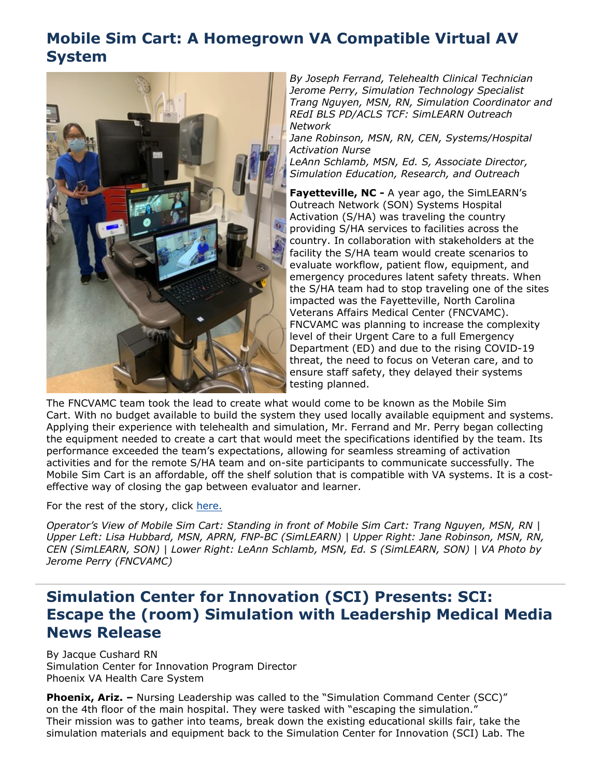## <span id="page-2-0"></span>**Mobile Sim Cart: A Homegrown VA Compatible Virtual AV System**



*By Joseph Ferrand, Telehealth Clinical Technician Jerome Perry, Simulation Technology Specialist Trang Nguyen, MSN, RN, Simulation Coordinator and REdI BLS PD/ACLS TCF: SimLEARN Outreach Network*

*Jane Robinson, MSN, RN, CEN, Systems/Hospital Activation Nurse LeAnn Schlamb, MSN, Ed. S, Associate Director,* 

*Simulation Education, Research, and Outreach*

**Fayetteville, NC -** A year ago, the SimLEARN's Outreach Network (SON) Systems Hospital Activation (S/HA) was traveling the country providing S/HA services to facilities across the country. In collaboration with stakeholders at the facility the S/HA team would create scenarios to evaluate workflow, patient flow, equipment, and emergency procedures latent safety threats. When the S/HA team had to stop traveling one of the sites impacted was the Fayetteville, North Carolina Veterans Affairs Medical Center (FNCVAMC). FNCVAMC was planning to increase the complexity level of their Urgent Care to a full Emergency Department (ED) and due to the rising COVID-19 threat, the need to focus on Veteran care, and to ensure staff safety, they delayed their systems testing planned.

The FNCVAMC team took the lead to create what would come to be known as the Mobile Sim Cart. With no budget available to build the system they used locally available equipment and systems. Applying their experience with telehealth and simulation, Mr. Ferrand and Mr. Perry began collecting the equipment needed to create a cart that would meet the specifications identified by the team. Its performance exceeded the team's expectations, allowing for seamless streaming of activation activities and for the remote S/HA team and on-site participants to communicate successfully. The Mobile Sim Cart is an affordable, off the shelf solution that is compatible with VA systems. It is a costeffective way of closing the gap between evaluator and learner.

For the rest of the story, click [here.](https://gcc01.safelinks.protection.outlook.com/?url=https%3A%2F%2Fwww.simlearn.va.gov%2FSIMLEARN%2FFA_2021_5_Mobile_Sims_cart.asp&data=04%7C01%7C%7C7ce23959e0274fde985d08d8f0782aa7%7Ce95f1b23abaf45ee821db7ab251ab3bf%7C0%7C0%7C637523746218821179%7CUnknown%7CTWFpbGZsb3d8eyJWIjoiMC4wLjAwMDAiLCJQIjoiV2luMzIiLCJBTiI6Ik1haWwiLCJXVCI6Mn0%3D%7C1000&sdata=%2FxPZUIoG5Q4DHhLNrGZq%2FavLSa8dl2QP1nB27%2Br79CY%3D&reserved=0)

*Operator's View of Mobile Sim Cart: Standing in front of Mobile Sim Cart: Trang Nguyen, MSN, RN | Upper Left: Lisa Hubbard, MSN, APRN, FNP-BC (SimLEARN) | Upper Right: Jane Robinson, MSN, RN, CEN (SimLEARN, SON) | Lower Right: LeAnn Schlamb, MSN, Ed. S (SimLEARN, SON) | VA Photo by Jerome Perry (FNCVAMC)*

## <span id="page-2-1"></span>**Simulation Center for Innovation (SCI) Presents: SCI: Escape the (room) Simulation with Leadership Medical Media News Release**

By Jacque Cushard RN Simulation Center for Innovation Program Director Phoenix VA Health Care System

**Phoenix, Ariz. -** Nursing Leadership was called to the "Simulation Command Center (SCC)" on the 4th floor of the main hospital. They were tasked with "escaping the simulation." Their mission was to gather into teams, break down the existing educational skills fair, take the simulation materials and equipment back to the Simulation Center for Innovation (SCI) Lab. The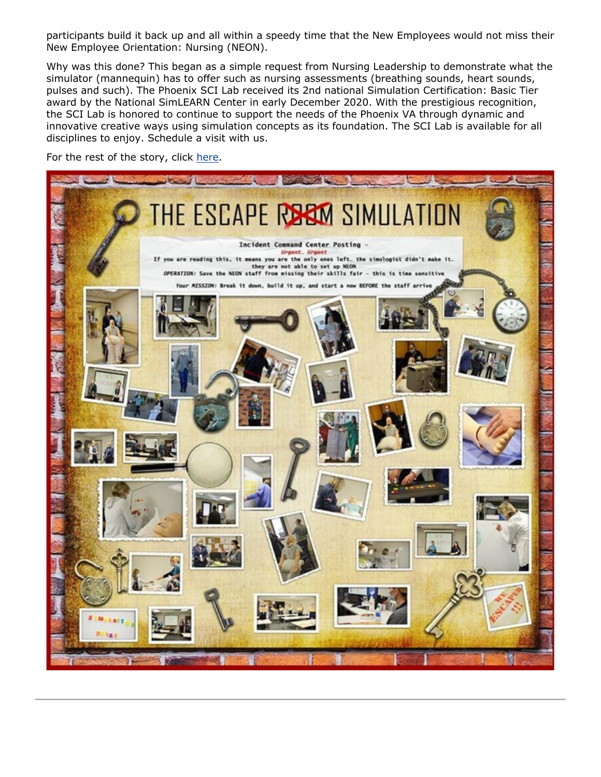participants build it back up and all within a speedy time that the New Employees would not miss their New Employee Orientation: Nursing (NEON).

Why was this done? This began as a simple request from Nursing Leadership to demonstrate what the simulator (mannequin) has to offer such as nursing assessments (breathing sounds, heart sounds, pulses and such). The Phoenix SCI Lab received its 2nd national Simulation Certification: Basic Tier award by the National SimLEARN Center in early December 2020. With the prestigious recognition, the SCI Lab is honored to continue to support the needs of the Phoenix VA through dynamic and innovative creative ways using simulation concepts as its foundation. The SCI Lab is available for all disciplines to enjoy. Schedule a visit with us.

For the rest of the story, click [here.](https://gcc01.safelinks.protection.outlook.com/?url=https%3A%2F%2Fwww.simlearn.va.gov%2FSIMLEARN%2FFA_2021_3_Simulation_Center_for_Innovation_Presents_Escape_the_Simulation.asp&data=04%7C01%7C%7C7ce23959e0274fde985d08d8f0782aa7%7Ce95f1b23abaf45ee821db7ab251ab3bf%7C0%7C0%7C637523746218821179%7CUnknown%7CTWFpbGZsb3d8eyJWIjoiMC4wLjAwMDAiLCJQIjoiV2luMzIiLCJBTiI6Ik1haWwiLCJXVCI6Mn0%3D%7C1000&sdata=ZQ0z7NNm9QOuLSMQ11duih1wSG4WD%2F9jc%2FCodQDvhhg%3D&reserved=0)

<span id="page-3-0"></span>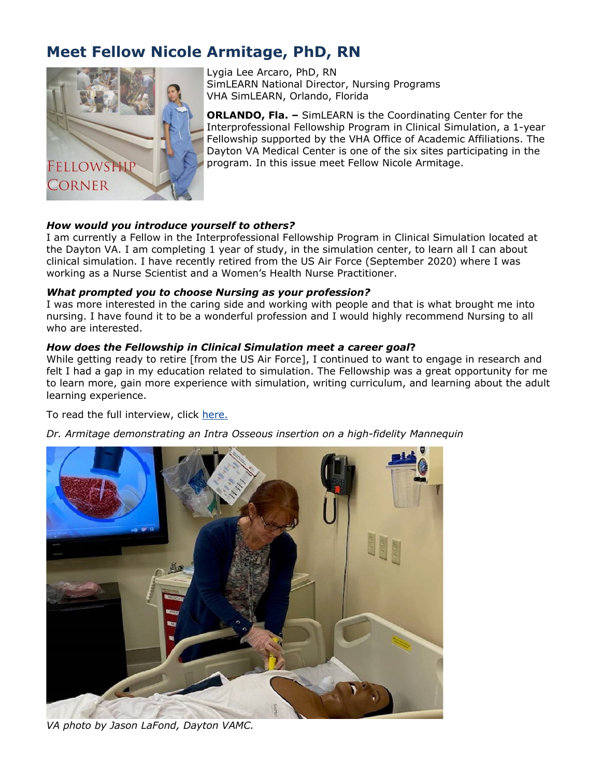# **Meet Fellow Nicole Armitage, PhD, RN**



Lygia Lee Arcaro, PhD, RN SimLEARN National Director, Nursing Programs VHA SimLEARN, Orlando, Florida

**ORLANDO, Fla. –** SimLEARN is the Coordinating Center for the Interprofessional Fellowship Program in Clinical Simulation, a 1-year Fellowship supported by the VHA Office of Academic Affiliations. The Dayton VA Medical Center is one of the six sites participating in the program. In this issue meet Fellow Nicole Armitage.

#### *How would you introduce yourself to others?*

I am currently a Fellow in the Interprofessional Fellowship Program in Clinical Simulation located at the Dayton VA. I am completing 1 year of study, in the simulation center, to learn all I can about clinical simulation. I have recently retired from the US Air Force (September 2020) where I was working as a Nurse Scientist and a Women's Health Nurse Practitioner.

#### *What prompted you to choose Nursing as your profession?*

I was more interested in the caring side and working with people and that is what brought me into nursing. I have found it to be a wonderful profession and I would highly recommend Nursing to all who are interested.

#### *How does the Fellowship in Clinical Simulation meet a career goal***?**

While getting ready to retire [from the US Air Force], I continued to want to engage in research and felt I had a gap in my education related to simulation. The Fellowship was a great opportunity for me to learn more, gain more experience with simulation, writing curriculum, and learning about the adult learning experience.

To read the full interview, click [here.](https://gcc01.safelinks.protection.outlook.com/?url=https%3A%2F%2Fwww.simlearn.va.gov%2FSIMLEARN%2FFA_2021_4_Meet_Fellow_Nicole_Armitage.asp&data=04%7C01%7C%7C7ce23959e0274fde985d08d8f0782aa7%7Ce95f1b23abaf45ee821db7ab251ab3bf%7C0%7C0%7C637523746218831134%7CUnknown%7CTWFpbGZsb3d8eyJWIjoiMC4wLjAwMDAiLCJQIjoiV2luMzIiLCJBTiI6Ik1haWwiLCJXVCI6Mn0%3D%7C1000&sdata=ikRIamNhRBIJfrANtmJ1N%2BaV%2FaLnbobz3QzedYLmz6M%3D&reserved=0)

*Dr. Armitage demonstrating an Intra Osseous insertion on a high-fidelity Mannequin*



*VA photo by Jason LaFond, Dayton VAMC.*